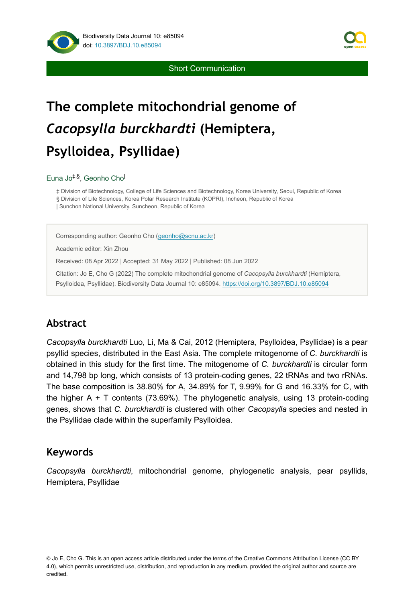

Short Communication

# **The complete mitochondrial genome of**  *Cacopsylla burckhardti* **(Hemiptera, Psylloidea, Psyllidae)**

#### Euna Jo<sup>‡,§</sup>, Geonho Cho<sup>l</sup>

‡ Division of Biotechnology, College of Life Sciences and Biotechnology, Korea University, Seoul, Republic of Korea § Division of Life Sciences, Korea Polar Research Institute (KOPRI), Incheon, Republic of Korea | Sunchon National University, Suncheon, Republic of Korea

Corresponding author: Geonho Cho ([geonho@scnu.ac.kr\)](mailto:geonho@scnu.ac.kr)

Academic editor: Xin Zhou

Received: 08 Apr 2022 | Accepted: 31 May 2022 | Published: 08 Jun 2022

Citation: Jo E, Cho G (2022) The complete mitochondrial genome of *Cacopsylla burckhardti* (Hemiptera, Psylloidea, Psyllidae). Biodiversity Data Journal 10: e85094.<https://doi.org/10.3897/BDJ.10.e85094>

#### **Abstract**

*Cacopsylla burckhardti* Luo, Li, Ma & Cai, 2012 (Hemiptera, Psylloidea, Psyllidae) is a pear psyllid species, distributed in the East Asia. The complete mitogenome of *C. burckhardti* is obtained in this study for the first time. The mitogenome of *C. burckhardti* is circular form and 14,798 bp long, which consists of 13 protein-coding genes, 22 tRNAs and two rRNAs. The base composition is 38.80% for A, 34.89% for T, 9.99% for G and 16.33% for C, with the higher A + T contents (73.69%). The phylogenetic analysis, using 13 protein-coding genes, shows that *C. burckhardti* is clustered with other *Cacopsylla* species and nested in the Psyllidae clade within the superfamily Psylloidea.

#### **Keywords**

*Cacopsylla burckhardti*, mitochondrial genome, phylogenetic analysis, pear psyllids, Hemiptera, Psyllidae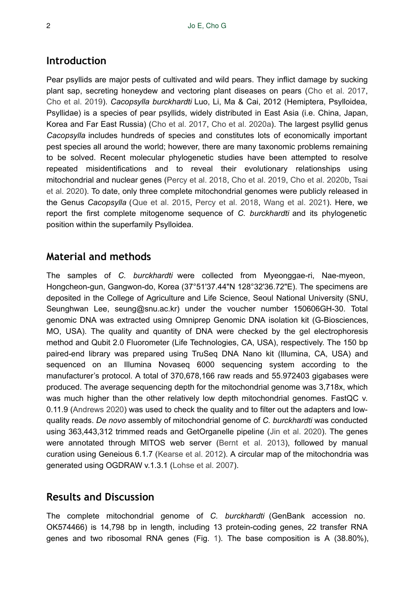### **Introduction**

Pear psyllids are major pests of cultivated and wild pears. They inflict damage by sucking plant sap, secreting honeydew and vectoring plant diseases on pears ([Cho et al. 2017,](#page-4-0) [Cho et al. 2019\)](#page-4-1). *Cacopsylla burckhardti* Luo, Li, Ma & Cai, 2012 (Hemiptera, Psylloidea, Psyllidae) is a species of pear psyllids, widely distributed in East Asia (i.e. China, Japan, Korea and Far East Russia) [\(Cho et al. 2017](#page-4-0), [Cho et al. 2020a](#page-4-2)). The largest psyllid genus *Cacopsylla* includes hundreds of species and constitutes lots of economically important pest species all around the world; however, there are many taxonomic problems remaining to be solved. Recent molecular phylogenetic studies have been attempted to resolve repeated misidentifications and to reveal their evolutionary relationships using mitochondrial and nuclear genes [\(Percy et al. 2018](#page-5-0), [Cho et al. 2019,](#page-4-1) [Cho et al. 2020b](#page-4-3), [Tsai](#page-5-1) [et al. 2020\)](#page-5-1). To date, only three complete mitochondrial genomes were publicly released in the Genus *Cacopsylla* ([Que et al. 2015](#page-5-2), [Percy et al. 2018,](#page-5-0) [Wang et al. 2021\)](#page-5-3). Here, we report the first complete mitogenome sequence of *C. burckhardti* and its phylogenetic position within the superfamily Psylloidea.

### **Material and methods**

The samples of *C. burckhardti* were collected from Myeonggae-ri, Nae-myeon, Hongcheon-gun, Gangwon-do, Korea (37°51'37.44"N 128°32'36.72"E). The specimens are deposited in the College of Agriculture and Life Science, Seoul National University (SNU, Seunghwan Lee, seung@snu.ac.kr) under the voucher number 150606GH-30. Total genomic DNA was extracted using Omniprep Genomic DNA isolation kit (G-Biosciences, MO, USA). The quality and quantity of DNA were checked by the gel electrophoresis method and Qubit 2.0 Fluorometer (Life Technologies, CA, USA), respectively. The 150 bp paired-end library was prepared using TruSeq DNA Nano kit (Illumina, CA, USA) and sequenced on an Illumina Novaseq 6000 sequencing system according to the manufacturer's protocol. A total of 370,678,166 raw reads and 55.972403 gigabases were produced. The average sequencing depth for the mitochondrial genome was 3,718x, which was much higher than the other relatively low depth mitochondrial genomes. FastQC v. 0.11.9 [\(Andrews 2020\)](#page-4-4) was used to check the quality and to filter out the adapters and lowquality reads. *De novo* assembly of mitochondrial genome of *C. burckhardti* was conducted using 363,443,312 trimmed reads and GetOrganelle pipeline ([Jin et al. 2020](#page-5-4)). The genes were annotated through MITOS web server [\(Bernt et al. 2013\)](#page-4-5), followed by manual curation using Geneious 6.1.7 [\(Kearse et al. 2012\)](#page-5-5). A circular map of the mitochondria was generated using OGDRAW v.1.3.1 ([Lohse et al. 2007](#page-5-6)).

#### **Results and Discussion**

The complete mitochondrial genome of *C. burckhardti* (GenBank accession no. OK574466) is 14,798 bp in length, including 13 protein-coding genes, 22 transfer RNA genes and two ribosomal RNA genes (Fig. [1](#page-2-0)). The base composition is A (38.80%),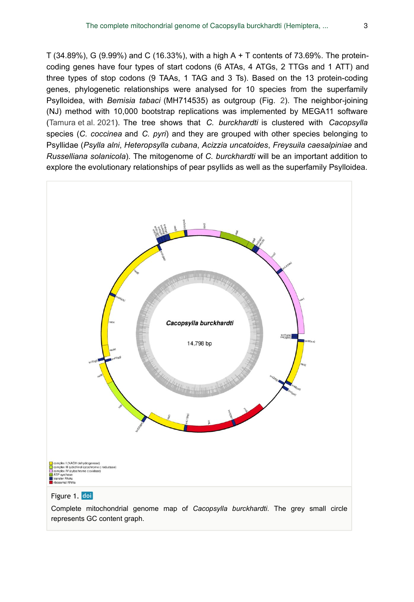T (34.89%), G (9.99%) and C (16.33%), with a high A + T contents of 73.69%. The proteincoding genes have four types of start codons (6 ATAs, 4 ATGs, 2 TTGs and 1 ATT) and three types of stop codons (9 TAAs, 1 TAG and 3 Ts). Based on the 13 protein-coding genes, phylogenetic relationships were analysed for 10 species from the superfamily Psylloidea, with *Bemisia tabaci* (MH714535) as outgroup (Fig. [2\)](#page-3-0). The neighbor-joining (NJ) method with 10,000 bootstrap replications was implemented by MEGA11 software [\(Tamura et al. 2021\)](#page-5-7). The tree shows that *C. burckhardti* is clustered with *Cacopsylla* species (*C. coccinea* and *C. pyri*) and they are grouped with other species belonging to Psyllidae (*Psylla alni*, *Heteropsylla cubana*, *Acizzia uncatoides*, *Freysuila caesalpiniae* and *Russelliana solanicola*). The mitogenome of *C. burckhardti* will be an important addition to explore the evolutionary relationships of pear psyllids as well as the superfamily Psylloidea.

<span id="page-2-0"></span>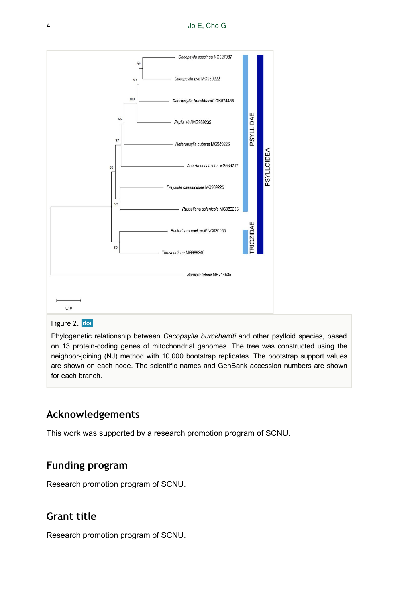<span id="page-3-0"></span>

Phylogenetic relationship between *Cacopsylla burckhardti* and other psylloid species, based on 13 protein-coding genes of mitochondrial genomes. The tree was constructed using the neighbor-joining (NJ) method with 10,000 bootstrap replicates. The bootstrap support values are shown on each node. The scientific names and GenBank accession numbers are shown for each branch.

# **Acknowledgements**

This work was supported by a research promotion program of SCNU.

# **Funding program**

Research promotion program of SCNU.

# **Grant title**

Research promotion program of SCNU.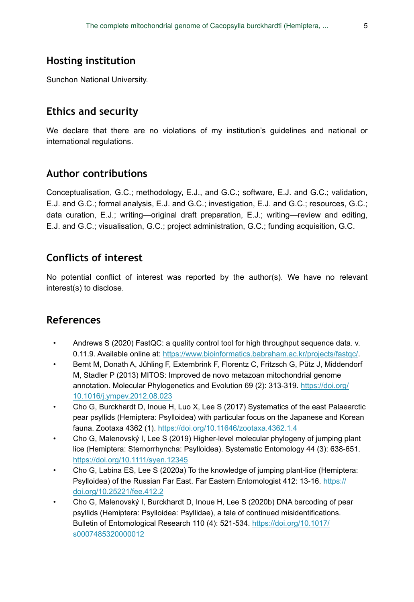# **Hosting institution**

Sunchon National University.

# **Ethics and security**

We declare that there are no violations of my institution's guidelines and national or international regulations.

# **Author contributions**

Conceptualisation, G.C.; methodology, E.J., and G.C.; software, E.J. and G.C.; validation, E.J. and G.C.; formal analysis, E.J. and G.C.; investigation, E.J. and G.C.; resources, G.C.; data curation, E.J.; writing—original draft preparation, E.J.; writing—review and editing, E.J. and G.C.; visualisation, G.C.; project administration, G.C.; funding acquisition, G.C.

# **Conflicts of interest**

No potential conflict of interest was reported by the author(s). We have no relevant interest(s) to disclose.

# **References**

- <span id="page-4-4"></span>• Andrews S (2020) FastQC: a quality control tool for high throughput sequence data. v. 0.11.9. Available online at: <https://www.bioinformatics.babraham.ac.kr/projects/fastqc/>.
- <span id="page-4-5"></span>• Bernt M, Donath A, Jühling F, Externbrink F, Florentz C, Fritzsch G, Pütz J, Middendorf M, Stadler P (2013) MITOS: Improved de novo metazoan mitochondrial genome annotation. Molecular Phylogenetics and Evolution 69 (2): 313-319. [https://doi.org/](https://doi.org/10.1016/j.ympev.2012.08.023) [10.1016/j.ympev.2012.08.023](https://doi.org/10.1016/j.ympev.2012.08.023)
- <span id="page-4-0"></span>• Cho G, Burckhardt D, Inoue H, Luo X, Lee S (2017) Systematics of the east Palaearctic pear psyllids (Hemiptera: Psylloidea) with particular focus on the Japanese and Korean fauna. Zootaxa 4362 (1).<https://doi.org/10.11646/zootaxa.4362.1.4>
- <span id="page-4-1"></span>• Cho G, Malenovský I, Lee S (2019) Higher-level molecular phylogeny of jumping plant lice (Hemiptera: Sternorrhyncha: Psylloidea). Systematic Entomology 44 (3): 638‑651. <https://doi.org/10.1111/syen.12345>
- <span id="page-4-2"></span>• Cho G, Labina ES, Lee S (2020a) To the knowledge of jumping plant-lice (Hemiptera: Psylloidea) of the Russian Far East. Far Eastern Entomologist 412: 13-16. [https://](https://doi.org/10.25221/fee.412.2) [doi.org/10.25221/fee.412.2](https://doi.org/10.25221/fee.412.2)
- <span id="page-4-3"></span>• Cho G, Malenovský I, Burckhardt D, Inoue H, Lee S (2020b) DNA barcoding of pear psyllids (Hemiptera: Psylloidea: Psyllidae), a tale of continued misidentifications. Bulletin of Entomological Research 110 (4): 521-534. [https://doi.org/10.1017/](https://doi.org/10.1017/s0007485320000012) [s0007485320000012](https://doi.org/10.1017/s0007485320000012)